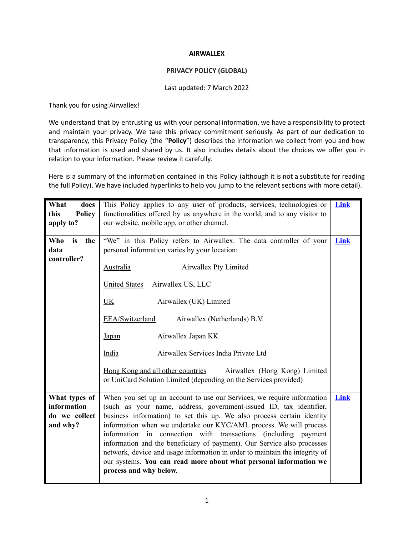#### **AIRWALLEX**

### **PRIVACY POLICY (GLOBAL)**

#### Last updated: 7 March 2022

Thank you for using Airwallex!

We understand that by entrusting us with your personal information, we have a responsibility to protect and maintain your privacy. We take this privacy commitment seriously. As part of our dedication to transparency, this Privacy Policy (the "**Policy**") describes the information we collect from you and how that information is used and shared by us. It also includes details about the choices we offer you in relation to your information. Please review it carefully.

Here is a summary of the information contained in this Policy (although it is not a substitute for reading the full Policy). We have included hyperlinks to help you jump to the relevant sections with more detail).

| What<br>does          | This Policy applies to any user of products, services, technologies or      | Link |  |
|-----------------------|-----------------------------------------------------------------------------|------|--|
| this<br><b>Policy</b> | functionalities offered by us anywhere in the world, and to any visitor to  |      |  |
| apply to?             | our website, mobile app, or other channel.                                  |      |  |
|                       |                                                                             |      |  |
| Who<br>is<br>the      | "We" in this Policy refers to Airwallex. The data controller of your        | Link |  |
| data                  | personal information varies by your location:                               |      |  |
| controller?           |                                                                             |      |  |
|                       | Airwallex Pty Limited<br><b>Australia</b>                                   |      |  |
|                       |                                                                             |      |  |
|                       | <b>United States</b><br>Airwallex US, LLC                                   |      |  |
|                       |                                                                             |      |  |
|                       | <b>UK</b><br>Airwallex (UK) Limited                                         |      |  |
|                       |                                                                             |      |  |
|                       | EEA/Switzerland<br>Airwallex (Netherlands) B.V.                             |      |  |
|                       |                                                                             |      |  |
|                       | Airwallex Japan KK<br><b>Japan</b>                                          |      |  |
|                       | India<br>Airwallex Services India Private Ltd                               |      |  |
|                       |                                                                             |      |  |
|                       | Hong Kong and all other countries<br>Airwallex (Hong Kong) Limited          |      |  |
|                       | or UniCard Solution Limited (depending on the Services provided)            |      |  |
|                       |                                                                             |      |  |
| What types of         | When you set up an account to use our Services, we require information      | Link |  |
| information           | (such as your name, address, government-issued ID, tax identifier,          |      |  |
| do we collect         | business information) to set this up. We also process certain identity      |      |  |
| and why?              | information when we undertake our KYC/AML process. We will process          |      |  |
|                       | information in connection with transactions (including payment              |      |  |
|                       | information and the beneficiary of payment). Our Service also processes     |      |  |
|                       | network, device and usage information in order to maintain the integrity of |      |  |
|                       | our systems. You can read more about what personal information we           |      |  |
|                       | process and why below.                                                      |      |  |
|                       |                                                                             |      |  |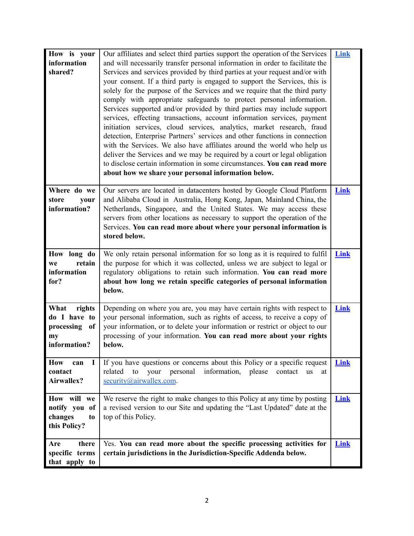| How is your<br>information<br>shared?                                 | Our affiliates and select third parties support the operation of the Services<br>and will necessarily transfer personal information in order to facilitate the<br>Services and services provided by third parties at your request and/or with<br>your consent. If a third party is engaged to support the Services, this is<br>solely for the purpose of the Services and we require that the third party<br>comply with appropriate safeguards to protect personal information.<br>Services supported and/or provided by third parties may include support<br>services, effecting transactions, account information services, payment<br>initiation services, cloud services, analytics, market research, fraud<br>detection, Enterprise Partners' services and other functions in connection<br>with the Services. We also have affiliates around the world who help us<br>deliver the Services and we may be required by a court or legal obligation | Link        |
|-----------------------------------------------------------------------|---------------------------------------------------------------------------------------------------------------------------------------------------------------------------------------------------------------------------------------------------------------------------------------------------------------------------------------------------------------------------------------------------------------------------------------------------------------------------------------------------------------------------------------------------------------------------------------------------------------------------------------------------------------------------------------------------------------------------------------------------------------------------------------------------------------------------------------------------------------------------------------------------------------------------------------------------------|-------------|
|                                                                       | to disclose certain information in some circumstances. You can read more<br>about how we share your personal information below.                                                                                                                                                                                                                                                                                                                                                                                                                                                                                                                                                                                                                                                                                                                                                                                                                         |             |
| Where do we<br>store<br>your<br>information?                          | Our servers are located in datacenters hosted by Google Cloud Platform<br>and Alibaba Cloud in Australia, Hong Kong, Japan, Mainland China, the<br>Netherlands, Singapore, and the United States. We may access these<br>servers from other locations as necessary to support the operation of the<br>Services. You can read more about where your personal information is<br>stored below.                                                                                                                                                                                                                                                                                                                                                                                                                                                                                                                                                             | Link        |
| How long do<br>retain<br>we<br>information<br>for?                    | We only retain personal information for so long as it is required to fulfil<br>the purpose for which it was collected, unless we are subject to legal or<br>regulatory obligations to retain such information. You can read more<br>about how long we retain specific categories of personal information<br>below.                                                                                                                                                                                                                                                                                                                                                                                                                                                                                                                                                                                                                                      | Link        |
| What<br>rights<br>do I have to<br>processing of<br>my<br>information? | Depending on where you are, you may have certain rights with respect to<br>your personal information, such as rights of access, to receive a copy of<br>your information, or to delete your information or restrict or object to our<br>processing of your information. You can read more about your rights<br>below.                                                                                                                                                                                                                                                                                                                                                                                                                                                                                                                                                                                                                                   | Link        |
| <b>How</b><br>can<br>Ι.<br>contact<br>Airwallex?                      | If you have questions or concerns about this Policy or a specific request<br>your<br>personal<br>information,<br>related<br>to<br>please<br>contact<br><b>us</b><br>at<br>security@airwallex.com.                                                                                                                                                                                                                                                                                                                                                                                                                                                                                                                                                                                                                                                                                                                                                       | <b>Link</b> |
| How will we<br>notify you of<br>changes<br>to<br>this Policy?         | We reserve the right to make changes to this Policy at any time by posting<br>a revised version to our Site and updating the "Last Updated" date at the<br>top of this Policy.                                                                                                                                                                                                                                                                                                                                                                                                                                                                                                                                                                                                                                                                                                                                                                          | Link        |
| there<br>Are<br>specific terms<br>that apply to                       | Yes. You can read more about the specific processing activities for<br>certain jurisdictions in the Jurisdiction-Specific Addenda below.                                                                                                                                                                                                                                                                                                                                                                                                                                                                                                                                                                                                                                                                                                                                                                                                                | Link        |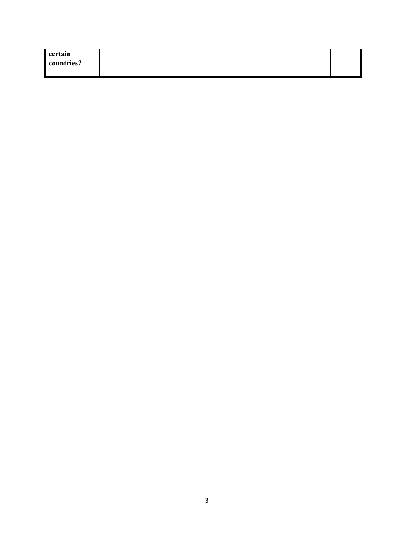| certain    |  |
|------------|--|
| countries? |  |
|            |  |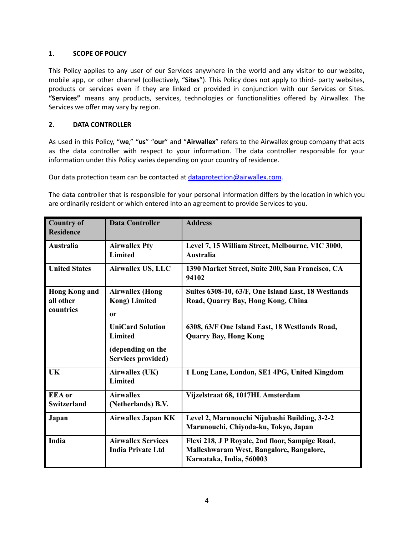## <span id="page-3-0"></span>**1. SCOPE OF POLICY**

This Policy applies to any user of our Services anywhere in the world and any visitor to our website, mobile app, or other channel (collectively, "**Sites**"). This Policy does not apply to third- party websites, products or services even if they are linked or provided in conjunction with our Services or Sites. **"Services"** means any products, services, technologies or functionalities offered by Airwallex. The Services we offer may vary by region.

## <span id="page-3-1"></span>**2. DATA CONTROLLER**

As used in this Policy, "**we**," "**us**" "**our**" and "**Airwallex**" refers to the Airwallex group company that acts as the data controller with respect to your information. The data controller responsible for your information under this Policy varies depending on your country of residence.

Our data protection team can be contacted at [dataprotection@airwallex.com](mailto:dataprotection@airwallex.com).

The data controller that is responsible for your personal information differs by the location in which you are ordinarily resident or which entered into an agreement to provide Services to you.

| <b>Country of</b><br><b>Residence</b>          | <b>Data Controller</b>                                                               | <b>Address</b>                                                                                                          |
|------------------------------------------------|--------------------------------------------------------------------------------------|-------------------------------------------------------------------------------------------------------------------------|
| Australia                                      | <b>Airwallex Pty</b><br><b>Limited</b>                                               | Level 7, 15 William Street, Melbourne, VIC 3000,<br><b>Australia</b>                                                    |
| <b>United States</b>                           | Airwallex US, LLC                                                                    | 1390 Market Street, Suite 200, San Francisco, CA<br>94102                                                               |
| <b>Hong Kong and</b><br>all other<br>countries | <b>Airwallex (Hong</b><br><b>Kong</b> ) Limited<br>0r                                | Suites 6308-10, 63/F, One Island East, 18 Westlands<br>Road, Quarry Bay, Hong Kong, China                               |
|                                                | <b>UniCard Solution</b><br>Limited<br>(depending on the<br><b>Services provided)</b> | 6308, 63/F One Island East, 18 Westlands Road,<br><b>Quarry Bay, Hong Kong</b>                                          |
| <b>UK</b>                                      | Airwallex (UK)<br><b>Limited</b>                                                     | 1 Long Lane, London, SE1 4PG, United Kingdom                                                                            |
| <b>EEA</b> or<br><b>Switzerland</b>            | <b>Airwallex</b><br>(Netherlands) B.V.                                               | Vijzelstraat 68, 1017HL Amsterdam                                                                                       |
| Japan                                          | <b>Airwallex Japan KK</b>                                                            | Level 2, Marunouchi Nijubashi Building, 3-2-2<br>Marunouchi, Chiyoda-ku, Tokyo, Japan                                   |
| India                                          | <b>Airwallex Services</b><br><b>India Private Ltd</b>                                | Flexi 218, J P Royale, 2nd floor, Sampige Road,<br>Malleshwaram West, Bangalore, Bangalore,<br>Karnataka, India, 560003 |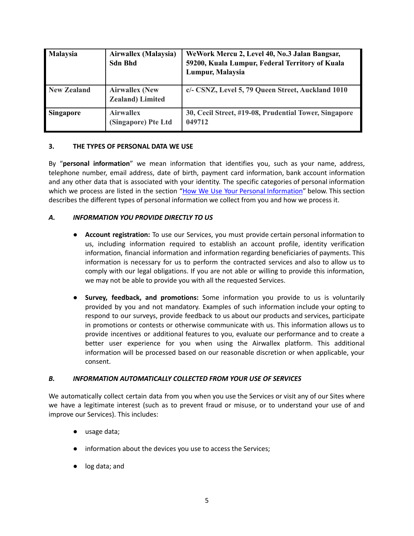| <b>Malaysia</b>    | Airwallex (Malaysia)<br><b>Sdn Bhd</b>            | WeWork Mercu 2, Level 40, No.3 Jalan Bangsar,<br>59200, Kuala Lumpur, Federal Territory of Kuala<br>Lumpur, Malaysia |
|--------------------|---------------------------------------------------|----------------------------------------------------------------------------------------------------------------------|
| <b>New Zealand</b> | <b>Airwallex (New</b><br><b>Zealand</b> ) Limited | c/- CSNZ, Level 5, 79 Queen Street, Auckland 1010                                                                    |
| Singapore          | <b>Airwallex</b><br>(Singapore) Pte Ltd           | 30, Cecil Street, #19-08, Prudential Tower, Singapore<br>049712                                                      |

### **3. THE TYPES OF PERSONAL DATA WE USE**

By "**personal information**" we mean information that identifies you, such as your name, address, telephone number, email address, date of birth, payment card information, bank account information and any other data that is associated with your identity. The specific categories of personal information which we process are listed in the section "How We Use Your Personal [Information](#page-5-0)" below. This section describes the different types of personal information we collect from you and how we process it.

### *A. INFORMATION YOU PROVIDE DIRECTLY TO US*

- **Account registration:** To use our Services, you must provide certain personal information to us, including information required to establish an account profile, identity verification information, financial information and information regarding beneficiaries of payments. This information is necessary for us to perform the contracted services and also to allow us to comply with our legal obligations. If you are not able or willing to provide this information, we may not be able to provide you with all the requested Services.
- **Survey, feedback, and promotions:** Some information you provide to us is voluntarily provided by you and not mandatory. Examples of such information include your opting to respond to our surveys, provide feedback to us about our products and services, participate in promotions or contests or otherwise communicate with us. This information allows us to provide incentives or additional features to you, evaluate our performance and to create a better user experience for you when using the Airwallex platform. This additional information will be processed based on our reasonable discretion or when applicable, your consent.

#### *B. INFORMATION AUTOMATICALLY COLLECTED FROM YOUR USE OF SERVICES*

We automatically collect certain data from you when you use the Services or visit any of our Sites where we have a legitimate interest (such as to prevent fraud or misuse, or to understand your use of and improve our Services). This includes:

- usage data;
- information about the devices you use to access the Services;
- log data; and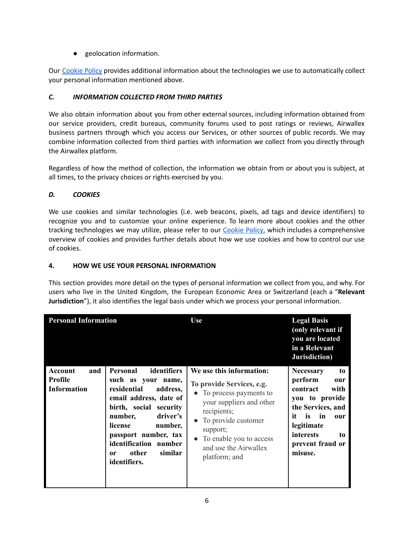● geolocation information.

Our [Cookie](https://www.airwallex.com/au/terms/cookie-policy) Policy provides additional information about the technologies we use to automatically collect your personal information mentioned above.

# *C. INFORMATION COLLECTED FROM THIRD PARTIES*

We also obtain information about you from other external sources, including information obtained from our service providers, credit bureaus, community forums used to post ratings or reviews, Airwallex business partners through which you access our Services, or other sources of public records. We may combine information collected from third parties with information we collect from you directly through the Airwallex platform.

Regardless of how the method of collection, the information we obtain from or about you is subject, at all times, to the privacy choices or rights exercised by you.

# *D. COOKIES*

We use cookies and similar technologies (i.e. web beacons, pixels, ad tags and device identifiers) to recognize you and to customize your online experience. To learn more about cookies and the other tracking technologies we may utilize, please refer to our [Cookie](https://www.airwallex.com/au/terms/cookie-policy) Policy, which includes a comprehensive overview of cookies and provides further details about how we use cookies and how to control our use of cookies.

## <span id="page-5-0"></span>**4. HOW WE USE YOUR PERSONAL INFORMATION**

This section provides more detail on the types of personal information we collect from you, and why. For users who live in the United Kingdom, the European Economic Area or Switzerland (each a "**Relevant Jurisdiction**"), it also identifies the legal basis under which we process your personal information.

| <b>Personal Information</b>                            |                                                                                                                                                                                                                                                                             | <b>Use</b>                                                                                                                                                                                                                             | <b>Legal Basis</b><br>(only relevant if<br>you are located<br>in a Relevant<br>Jurisdiction)                                                                                                 |
|--------------------------------------------------------|-----------------------------------------------------------------------------------------------------------------------------------------------------------------------------------------------------------------------------------------------------------------------------|----------------------------------------------------------------------------------------------------------------------------------------------------------------------------------------------------------------------------------------|----------------------------------------------------------------------------------------------------------------------------------------------------------------------------------------------|
| Account<br>and<br><b>Profile</b><br><b>Information</b> | <b>Personal</b><br>identifiers<br>such as your name,<br>residential<br>address,<br>email address, date of<br>birth, social security<br>driver's<br>number,<br>license<br>number,<br>passport number, tax<br>identification number<br>other<br>similar<br>0r<br>identifiers. | We use this information:<br>To provide Services, e.g.<br>• To process payments to<br>your suppliers and other<br>recipients;<br>• To provide customer<br>support;<br>To enable you to access<br>and use the Airwallex<br>platform; and | <b>Necessary</b><br>to<br>perform<br>our<br>contract<br>with<br>you to provide<br>the Services, and<br>it<br>is<br>in<br>our<br>legitimate<br>interests<br>to<br>prevent fraud or<br>misuse. |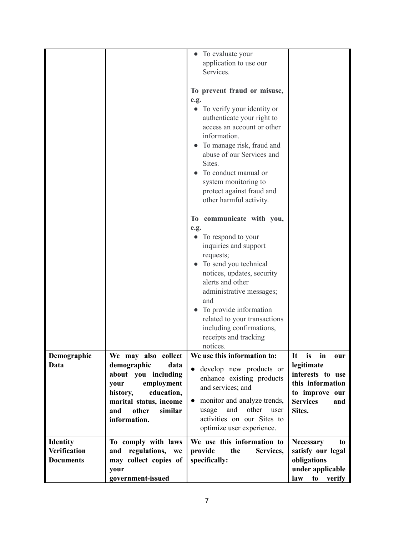|                     |                         | To evaluate your                         |                        |
|---------------------|-------------------------|------------------------------------------|------------------------|
|                     |                         | application to use our                   |                        |
|                     |                         | Services.                                |                        |
|                     |                         |                                          |                        |
|                     |                         | To prevent fraud or misuse,              |                        |
|                     |                         |                                          |                        |
|                     |                         | e.g.                                     |                        |
|                     |                         | To verify your identity or               |                        |
|                     |                         | authenticate your right to               |                        |
|                     |                         | access an account or other               |                        |
|                     |                         | information.                             |                        |
|                     |                         | To manage risk, fraud and                |                        |
|                     |                         | abuse of our Services and                |                        |
|                     |                         |                                          |                        |
|                     |                         | Sites.                                   |                        |
|                     |                         | To conduct manual or                     |                        |
|                     |                         | system monitoring to                     |                        |
|                     |                         | protect against fraud and                |                        |
|                     |                         | other harmful activity.                  |                        |
|                     |                         |                                          |                        |
|                     |                         |                                          |                        |
|                     |                         | To communicate with you,                 |                        |
|                     |                         | e.g.                                     |                        |
|                     |                         | To respond to your                       |                        |
|                     |                         | inquiries and support                    |                        |
|                     |                         | requests;                                |                        |
|                     |                         | To send you technical                    |                        |
|                     |                         | notices, updates, security               |                        |
|                     |                         |                                          |                        |
|                     |                         | alerts and other                         |                        |
|                     |                         | administrative messages;                 |                        |
|                     |                         | and                                      |                        |
|                     |                         | To provide information                   |                        |
|                     |                         | related to your transactions             |                        |
|                     |                         | including confirmations,                 |                        |
|                     |                         | receipts and tracking                    |                        |
|                     |                         | notices.                                 |                        |
|                     |                         |                                          |                        |
| Demographic         | We may also collect     | We use this information to:              | It<br>in<br>is<br>our  |
| Data                | demographic<br>data     | develop new products or<br>$\bullet$     | legitimate             |
|                     | about you including     | enhance existing products                | interests to use       |
|                     | your<br>employment      | and services; and                        | this information       |
|                     | history,<br>education,  |                                          | to improve our         |
|                     | marital status, income  | monitor and analyze trends,<br>$\bullet$ | <b>Services</b><br>and |
|                     | similar<br>and<br>other | and<br>other<br>usage<br>user            | Sites.                 |
|                     | information.            | activities on our Sites to               |                        |
|                     |                         | optimize user experience.                |                        |
|                     |                         |                                          |                        |
| <b>Identity</b>     | To comply with laws     | We use this information to               | <b>Necessary</b><br>to |
| <b>Verification</b> | and regulations, we     | provide<br>Services,<br>the              | satisfy our legal      |
| <b>Documents</b>    | may collect copies of   | specifically:                            | obligations            |
|                     | your                    |                                          | under applicable       |
|                     | government-issued       |                                          | law<br>to<br>verify    |
|                     |                         |                                          |                        |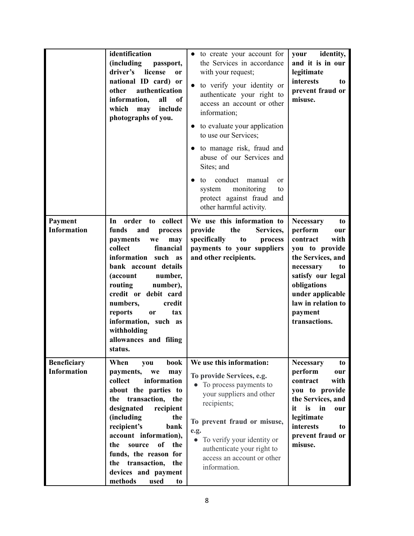|                                          | identification<br>(including<br>passport,<br>driver's<br>license<br><sub>or</sub><br>national ID card) or<br>authentication<br>other<br>information,<br>all<br>of<br>which<br>include<br>may<br>photographs of you.                                                                                                                                          | • to create your account for<br>the Services in accordance<br>with your request;<br>to verify your identity or<br>$\bullet$<br>authenticate your right to<br>access an account or other<br>information;<br>to evaluate your application<br>to use our Services;<br>• to manage risk, fraud and<br>abuse of our Services and<br>Sites; and<br>conduct<br>manual<br>to<br><sub>or</sub><br>monitoring<br>system<br>to<br>protect against fraud and<br>other harmful activity. | your identity,<br>and it is in our<br>legitimate<br>interests<br>to<br>prevent fraud or<br>misuse.                                                                                                                               |
|------------------------------------------|--------------------------------------------------------------------------------------------------------------------------------------------------------------------------------------------------------------------------------------------------------------------------------------------------------------------------------------------------------------|-----------------------------------------------------------------------------------------------------------------------------------------------------------------------------------------------------------------------------------------------------------------------------------------------------------------------------------------------------------------------------------------------------------------------------------------------------------------------------|----------------------------------------------------------------------------------------------------------------------------------------------------------------------------------------------------------------------------------|
| Payment<br><b>Information</b>            | In<br>order<br>to collect<br>funds<br>and<br>process<br>payments<br>we<br>may<br>collect<br>financial<br>information such as<br>bank account details<br>(account<br>number,<br>routing<br>number),<br>credit or debit card<br>numbers,<br>credit<br>reports<br><b>or</b><br>tax<br>information, such as<br>withholding<br>allowances and filing<br>status.   | We use this information to<br>provide<br>the<br>Services,<br>specifically<br>to<br>process<br>payments to your suppliers<br>and other recipients.                                                                                                                                                                                                                                                                                                                           | <b>Necessary</b><br>to<br>perform<br>our<br>contract<br>with<br>you to provide<br>the Services, and<br>necessary<br>to<br>satisfy our legal<br>obligations<br>under applicable<br>law in relation to<br>payment<br>transactions. |
| <b>Beneficiary</b><br><b>Information</b> | When<br>book<br>you<br>payments,<br>we<br>may<br>information<br>collect<br>about the parties to<br>transaction, the<br>the<br>designated<br>recipient<br>(including<br>the<br>recipient's<br>bank<br>account information),<br>of<br>the<br>the<br>source<br>funds, the reason for<br>the transaction,<br>the<br>devices and payment<br>methods<br>used<br>to | We use this information:<br>To provide Services, e.g.<br>To process payments to<br>your suppliers and other<br>recipients;<br>To prevent fraud or misuse,<br>e.g.<br>$\bullet$<br>To verify your identity or<br>authenticate your right to<br>access an account or other<br>information.                                                                                                                                                                                    | <b>Necessary</b><br>to<br>perform<br>our<br>contract<br>with<br>you to provide<br>the Services, and<br>$\mathbf{in}$<br>it<br>is<br>our<br>legitimate<br>interests<br>to<br>prevent fraud or<br>misuse.                          |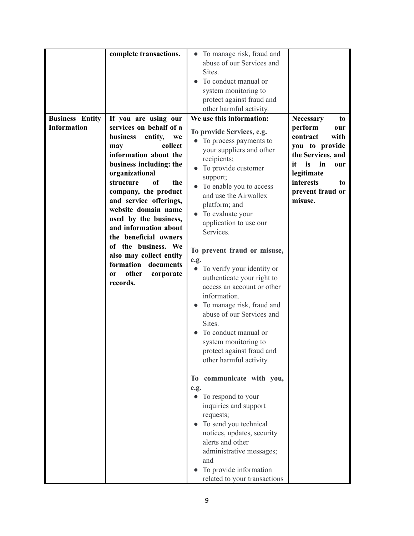|                        | complete transactions.              | To manage risk, fraud and<br>$\bullet$  |                        |
|------------------------|-------------------------------------|-----------------------------------------|------------------------|
|                        |                                     |                                         |                        |
|                        |                                     | abuse of our Services and               |                        |
|                        |                                     | Sites.                                  |                        |
|                        |                                     | To conduct manual or                    |                        |
|                        |                                     | system monitoring to                    |                        |
|                        |                                     | protect against fraud and               |                        |
|                        |                                     | other harmful activity.                 |                        |
| <b>Business Entity</b> | If you are using our                | We use this information:                | <b>Necessary</b><br>to |
| <b>Information</b>     | services on behalf of a             |                                         | perform                |
|                        |                                     | To provide Services, e.g.               | our                    |
|                        | business<br>entity,<br>we           | • To process payments to                | contract<br>with       |
|                        | collect<br>may                      | your suppliers and other                | you to provide         |
|                        | information about the               | recipients;                             | the Services, and      |
|                        | business including: the             | To provide customer<br>$\bullet$        | is<br>it<br>in<br>our  |
|                        | organizational                      |                                         | legitimate             |
|                        | structure<br>of<br>the              | support;                                | interests<br>to        |
|                        | company, the product                | To enable you to access                 | prevent fraud or       |
|                        | and service offerings,              | and use the Airwallex                   | misuse.                |
|                        | website domain name                 | platform; and                           |                        |
|                        |                                     | • To evaluate your                      |                        |
|                        | used by the business,               | application to use our                  |                        |
|                        | and information about               | Services.                               |                        |
|                        | the beneficial owners               |                                         |                        |
|                        | of the business. We                 | To prevent fraud or misuse,             |                        |
|                        | also may collect entity             |                                         |                        |
|                        | formation documents                 | e.g.                                    |                        |
|                        | other<br>corporate<br><sub>or</sub> | To verify your identity or<br>$\bullet$ |                        |
|                        | records.                            | authenticate your right to              |                        |
|                        |                                     | access an account or other              |                        |
|                        |                                     | information.                            |                        |
|                        |                                     | To manage risk, fraud and               |                        |
|                        |                                     | abuse of our Services and               |                        |
|                        |                                     | Sites.                                  |                        |
|                        |                                     | To conduct manual or                    |                        |
|                        |                                     | system monitoring to                    |                        |
|                        |                                     |                                         |                        |
|                        |                                     | protect against fraud and               |                        |
|                        |                                     | other harmful activity.                 |                        |
|                        |                                     |                                         |                        |
|                        |                                     | To communicate with you,                |                        |
|                        |                                     | e.g.                                    |                        |
|                        |                                     | • To respond to your                    |                        |
|                        |                                     | inquiries and support                   |                        |
|                        |                                     | requests;                               |                        |
|                        |                                     | • To send you technical                 |                        |
|                        |                                     |                                         |                        |
|                        |                                     | notices, updates, security              |                        |
|                        |                                     | alerts and other                        |                        |
|                        |                                     | administrative messages;                |                        |
|                        |                                     | and                                     |                        |
|                        |                                     | To provide information                  |                        |
|                        |                                     | related to your transactions            |                        |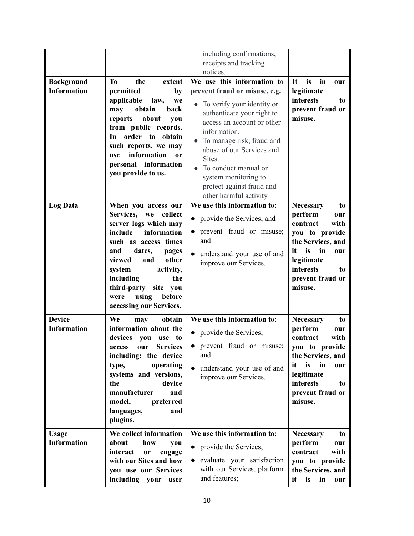|                    |                                                     | including confirmations,                |                                            |
|--------------------|-----------------------------------------------------|-----------------------------------------|--------------------------------------------|
|                    |                                                     | receipts and tracking                   |                                            |
|                    |                                                     | notices.                                |                                            |
| <b>Background</b>  | <b>To</b><br>the<br>extent                          | We use this information to              | is<br>in<br>It<br>our                      |
| <b>Information</b> | permitted<br>by                                     | prevent fraud or misuse, e.g.           | legitimate                                 |
|                    |                                                     |                                         | interests                                  |
|                    | applicable<br>law,<br>we                            | To verify your identity or              | to                                         |
|                    | obtain<br>may<br>back                               | authenticate your right to              | prevent fraud or                           |
|                    | reports<br>about<br>you                             | access an account or other              | misuse.                                    |
|                    | from public records.                                | information.                            |                                            |
|                    | In order to obtain                                  | To manage risk, fraud and               |                                            |
|                    | such reports, we may                                |                                         |                                            |
|                    | information<br><b>use</b><br><b>or</b>              | abuse of our Services and               |                                            |
|                    | personal information                                | Sites.                                  |                                            |
|                    |                                                     | To conduct manual or                    |                                            |
|                    | you provide to us.                                  | system monitoring to                    |                                            |
|                    |                                                     | protect against fraud and               |                                            |
|                    |                                                     | other harmful activity.                 |                                            |
|                    |                                                     | We use this information to:             |                                            |
| <b>Log Data</b>    | When you access our                                 |                                         | <b>Necessary</b><br>to                     |
|                    | Services,<br>collect<br>we<br>server logs which may | • provide the Services; and             | perform<br>our<br>contract<br>with         |
|                    | information<br>include                              | prevent fraud or misuse;<br>$\bullet$   | you to provide                             |
|                    | such as access times                                | and                                     | the Services, and                          |
|                    | and                                                 |                                         | in<br>it<br>is                             |
|                    | dates,<br>pages                                     | understand your use of and              | our                                        |
|                    | viewed<br>other<br>and                              | improve our Services.                   | legitimate                                 |
|                    | system<br>activity,                                 |                                         | interests<br>to                            |
|                    | including<br>the                                    |                                         | prevent fraud or                           |
|                    | third-party<br>site you                             |                                         | misuse.                                    |
|                    | using<br>before<br>were                             |                                         |                                            |
|                    | accessing our Services.                             |                                         |                                            |
|                    |                                                     |                                         |                                            |
| <b>Device</b>      | We<br>obtain<br>may                                 | We use this information to:             | <b>Necessary</b><br>to                     |
| <b>Information</b> | information about the                               | • provide the Services;                 | perform<br>our                             |
|                    | devices<br>you<br>use to                            |                                         | contract<br>with                           |
|                    | <b>Services</b><br>access<br>our                    | prevent fraud or misuse;<br>$\bullet$   | you to provide                             |
|                    | including: the device                               | and                                     | the Services, and                          |
|                    | operating<br>type,                                  |                                         | is<br>in<br>it<br>our                      |
|                    |                                                     | understand your use of and              |                                            |
|                    | systems and versions,                               | improve our Services.                   | legitimate                                 |
|                    | the<br>device                                       |                                         | <b>interests</b><br>to                     |
|                    | manufacturer<br>and                                 |                                         | prevent fraud or                           |
|                    | model,<br>preferred                                 |                                         | misuse.                                    |
|                    | languages,<br>and                                   |                                         |                                            |
|                    | plugins.                                            |                                         |                                            |
|                    |                                                     |                                         |                                            |
| <b>Usage</b>       | We collect information                              | We use this information to:             | <b>Necessary</b><br>to                     |
| <b>Information</b> | about<br>how<br>you                                 |                                         | perform<br>our                             |
|                    | interact<br>or<br>engage                            | • provide the Services;                 | contract<br>with                           |
|                    | with our Sites and how                              | evaluate your satisfaction<br>$\bullet$ | you to provide                             |
|                    |                                                     | with our Services, platform             |                                            |
|                    |                                                     |                                         |                                            |
|                    | you use our Services<br>including your<br>user      | and features;                           | the Services, and<br>in<br>is<br>it<br>our |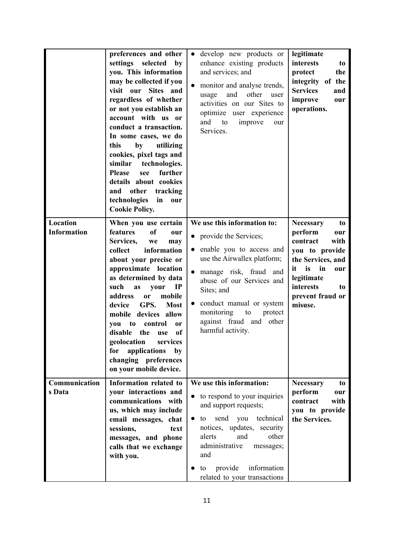|                                | preferences and other                                                                                                                                                                                                                                                                                                                                                                                                                                              | • develop new products or                                                                                                                                                                                                                                                                                      | legitimate                                                                                                                                                                                 |
|--------------------------------|--------------------------------------------------------------------------------------------------------------------------------------------------------------------------------------------------------------------------------------------------------------------------------------------------------------------------------------------------------------------------------------------------------------------------------------------------------------------|----------------------------------------------------------------------------------------------------------------------------------------------------------------------------------------------------------------------------------------------------------------------------------------------------------------|--------------------------------------------------------------------------------------------------------------------------------------------------------------------------------------------|
|                                | settings selected<br>by<br>you. This information<br>may be collected if you<br>visit our Sites and<br>regardless of whether<br>or not you establish an<br>account with us or<br>conduct a transaction.<br>In some cases, we do<br>this<br>by<br>utilizing<br>cookies, pixel tags and<br>similar technologies.<br>further<br><b>Please</b><br>see<br>details about cookies<br>other<br>tracking<br>and<br>technologies<br>in<br>our<br><b>Cookie Policy.</b>        | enhance existing products<br>and services; and<br>monitor and analyse trends,<br>$\bullet$<br>usage<br>and<br>other<br>user<br>activities on our Sites to<br>optimize user experience<br>and<br>to<br>improve<br>our<br>Services.                                                                              | interests<br>to<br>protect<br>the<br>integrity of the<br><b>Services</b><br>and<br>improve<br>our<br>operations.                                                                           |
| Location<br><b>Information</b> | When you use certain<br>of<br>features<br>our<br>Services,<br>we<br>may<br>information<br>collect<br>about your precise or<br>approximate location<br>as determined by data<br>such<br>$_{\rm IP}$<br>as<br>your<br>address<br>or<br>mobile<br>GPS.<br>device<br><b>Most</b><br>mobile devices allow<br>to<br>control<br>you<br>or<br>of<br>disable the<br>use<br>geolocation<br>services<br>for applications by<br>changing preferences<br>on your mobile device. | We use this information to:<br>• provide the Services;<br>enable you to access and<br>$\bullet$<br>use the Airwallex platform;<br>manage risk, fraud and<br>abuse of our Services and<br>Sites; and<br>conduct manual or system<br>monitoring<br>to<br>protect<br>against fraud and other<br>harmful activity. | <b>Necessary</b><br>to<br>perform<br>our<br>contract<br>with<br>you to provide<br>the Services, and<br>it is<br>in<br>our<br>legitimate<br>interests<br>to.<br>prevent fraud or<br>misuse. |
| Communication<br>s Data        | Information related to<br>your interactions and<br>communications with<br>us, which may include<br>email messages, chat<br>sessions,<br>text<br>messages, and phone<br>calls that we exchange<br>with you.                                                                                                                                                                                                                                                         | We use this information:<br>to respond to your inquiries<br>and support requests;<br>technical<br>send<br>you<br>$\bullet$ to<br>notices, updates, security<br>alerts<br>and<br>other<br>administrative<br>messages;<br>and<br>provide<br>information<br>to<br>related to your transactions                    | <b>Necessary</b><br>to<br>perform<br>our<br>contract<br>with<br>you to provide<br>the Services.                                                                                            |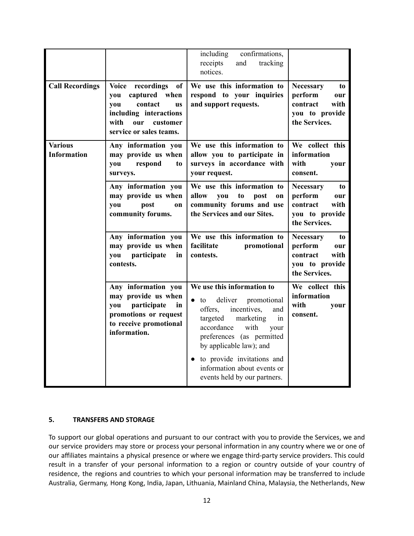|                                      |                                                                                                                                                               | including<br>confirmations,<br>receipts<br>and<br>tracking<br>notices.                                                                                                                                                                                                                                                       |                                                                                                 |
|--------------------------------------|---------------------------------------------------------------------------------------------------------------------------------------------------------------|------------------------------------------------------------------------------------------------------------------------------------------------------------------------------------------------------------------------------------------------------------------------------------------------------------------------------|-------------------------------------------------------------------------------------------------|
| <b>Call Recordings</b>               | Voice recordings<br>of<br>captured when<br>you<br>contact<br>you<br><b>US</b><br>including interactions<br>with<br>our<br>customer<br>service or sales teams. | We use this information to<br>respond to your inquiries<br>and support requests.                                                                                                                                                                                                                                             | <b>Necessary</b><br>to<br>perform<br>our<br>contract<br>with<br>you to provide<br>the Services. |
| <b>Various</b><br><b>Information</b> | Any information you<br>may provide us when<br>respond<br>you<br>to<br>surveys.                                                                                | We use this information to<br>allow you to participate in<br>surveys in accordance with<br>your request.                                                                                                                                                                                                                     | We collect this<br>information<br>with<br>your<br>consent.                                      |
|                                      | Any information you<br>may provide us when<br>post<br>you<br>on<br>community forums.                                                                          | We use this information to<br>allow<br>you<br>to<br>post<br>on<br>community forums and use<br>the Services and our Sites.                                                                                                                                                                                                    | Necessary<br>to<br>perform<br>our<br>with<br>contract<br>you to provide<br>the Services.        |
|                                      | Any information you<br>may provide us when<br>you participate<br>in<br>contests.                                                                              | We use this information to<br>facilitate<br>promotional<br>contests.                                                                                                                                                                                                                                                         | <b>Necessary</b><br>to<br>perform<br>our<br>contract<br>with<br>you to provide<br>the Services. |
|                                      | Any information you<br>may provide us when<br>participate<br>you<br>in<br>promotions or request<br>to receive promotional<br>information.                     | We use this information to<br>deliver<br>promotional<br>to<br>$\bullet$<br>offers,<br>incentives,<br>and<br>targeted<br>marketing<br>in<br>accordance<br>with<br>your<br>preferences (as permitted<br>by applicable law); and<br>• to provide invitations and<br>information about events or<br>events held by our partners. | We collect this<br>information<br>with<br>your<br>consent.                                      |

# <span id="page-11-0"></span>**5. TRANSFERS AND STORAGE**

To support our global operations and pursuant to our contract with you to provide the Services, we and our service providers may store or process your personal information in any country where we or one of our affiliates maintains a physical presence or where we engage third-party service providers. This could result in a transfer of your personal information to a region or country outside of your country of residence, the regions and countries to which your personal information may be transferred to include Australia, Germany, Hong Kong, India, Japan, Lithuania, Mainland China, Malaysia, the Netherlands, New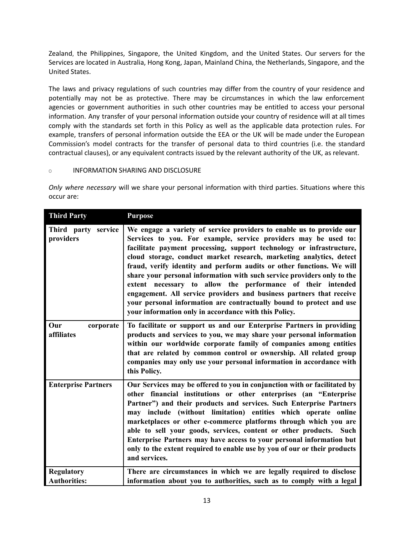Zealand, the Philippines, Singapore, the United Kingdom, and the United States. Our servers for the Services are located in Australia, Hong Kong, Japan, Mainland China, the Netherlands, Singapore, and the United States.

The laws and privacy regulations of such countries may differ from the country of your residence and potentially may not be as protective. There may be circumstances in which the law enforcement agencies or government authorities in such other countries may be entitled to access your personal information. Any transfer of your personal information outside your country of residence will at all times comply with the standards set forth in this Policy as well as the applicable data protection rules. For example, transfers of personal information outside the EEA or the UK will be made under the European Commission's model contracts for the transfer of personal data to third countries (i.e. the standard contractual clauses), or any equivalent contracts issued by the relevant authority of the UK, as relevant.

## <span id="page-12-0"></span>O INFORMATION SHARING AND DISCLOSURE

*Only where necessary* will we share your personal information with third parties. Situations where this occur are:

| <b>Third Party</b>                       | <b>Purpose</b>                                                                                                                                                                                                                                                                                                                                                                                                                                                                                                                                                                                                                                                                                                     |
|------------------------------------------|--------------------------------------------------------------------------------------------------------------------------------------------------------------------------------------------------------------------------------------------------------------------------------------------------------------------------------------------------------------------------------------------------------------------------------------------------------------------------------------------------------------------------------------------------------------------------------------------------------------------------------------------------------------------------------------------------------------------|
| Third party service<br>providers         | We engage a variety of service providers to enable us to provide our<br>Services to you. For example, service providers may be used to:<br>facilitate payment processing, support technology or infrastructure,<br>cloud storage, conduct market research, marketing analytics, detect<br>fraud, verify identity and perform audits or other functions. We will<br>share your personal information with such service providers only to the<br>extent necessary to allow the performance of their intended<br>engagement. All service providers and business partners that receive<br>your personal information are contractually bound to protect and use<br>your information only in accordance with this Policy. |
| Our<br>corporate<br>affiliates           | To facilitate or support us and our Enterprise Partners in providing<br>products and services to you, we may share your personal information<br>within our worldwide corporate family of companies among entities<br>that are related by common control or ownership. All related group<br>companies may only use your personal information in accordance with<br>this Policy.                                                                                                                                                                                                                                                                                                                                     |
| <b>Enterprise Partners</b>               | Our Services may be offered to you in conjunction with or facilitated by<br>other financial institutions or other enterprises (an "Enterprise<br>Partner") and their products and services. Such Enterprise Partners<br>may include (without limitation) entities which operate online<br>marketplaces or other e-commerce platforms through which you are<br>able to sell your goods, services, content or other products. Such<br>Enterprise Partners may have access to your personal information but<br>only to the extent required to enable use by you of our or their products<br>and services.                                                                                                             |
| <b>Regulatory</b><br><b>Authorities:</b> | There are circumstances in which we are legally required to disclose<br>information about you to authorities, such as to comply with a legal                                                                                                                                                                                                                                                                                                                                                                                                                                                                                                                                                                       |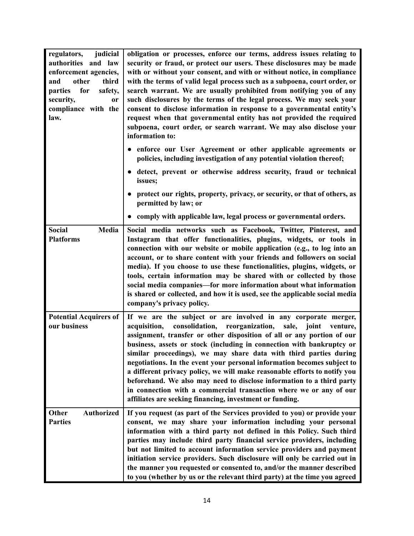| judicial<br>regulators,<br>authorities and law<br>enforcement agencies,<br>other<br>third<br>and<br>for<br>parties<br>safety,<br>security,<br>or<br>compliance with the<br>law. | obligation or processes, enforce our terms, address issues relating to<br>security or fraud, or protect our users. These disclosures may be made<br>with or without your consent, and with or without notice, in compliance<br>with the terms of valid legal process such as a subpoena, court order, or<br>search warrant. We are usually prohibited from notifying you of any<br>such disclosures by the terms of the legal process. We may seek your<br>consent to disclose information in response to a governmental entity's<br>request when that governmental entity has not provided the required<br>subpoena, court order, or search warrant. We may also disclose your<br>information to:                                           |
|---------------------------------------------------------------------------------------------------------------------------------------------------------------------------------|----------------------------------------------------------------------------------------------------------------------------------------------------------------------------------------------------------------------------------------------------------------------------------------------------------------------------------------------------------------------------------------------------------------------------------------------------------------------------------------------------------------------------------------------------------------------------------------------------------------------------------------------------------------------------------------------------------------------------------------------|
|                                                                                                                                                                                 | enforce our User Agreement or other applicable agreements or<br>$\bullet$<br>policies, including investigation of any potential violation thereof;                                                                                                                                                                                                                                                                                                                                                                                                                                                                                                                                                                                           |
|                                                                                                                                                                                 | • detect, prevent or otherwise address security, fraud or technical<br>issues;                                                                                                                                                                                                                                                                                                                                                                                                                                                                                                                                                                                                                                                               |
|                                                                                                                                                                                 | protect our rights, property, privacy, or security, or that of others, as<br>permitted by law; or                                                                                                                                                                                                                                                                                                                                                                                                                                                                                                                                                                                                                                            |
|                                                                                                                                                                                 | comply with applicable law, legal process or governmental orders.                                                                                                                                                                                                                                                                                                                                                                                                                                                                                                                                                                                                                                                                            |
| Media<br><b>Social</b><br><b>Platforms</b>                                                                                                                                      | Social media networks such as Facebook, Twitter, Pinterest, and<br>Instagram that offer functionalities, plugins, widgets, or tools in<br>connection with our website or mobile application (e.g., to log into an<br>account, or to share content with your friends and followers on social<br>media). If you choose to use these functionalities, plugins, widgets, or<br>tools, certain information may be shared with or collected by those<br>social media companies-for more information about what information<br>is shared or collected, and how it is used, see the applicable social media<br>company's privacy policy.                                                                                                             |
| <b>Potential Acquirers of</b><br>our business                                                                                                                                   | If we are the subject or are involved in any corporate merger,<br>consolidation,<br>reorganization,<br>sale,<br>acquisition,<br>joint<br>venture,<br>assignment, transfer or other disposition of all or any portion of our<br>business, assets or stock (including in connection with bankruptcy or<br>similar proceedings), we may share data with third parties during<br>negotiations. In the event your personal information becomes subject to<br>a different privacy policy, we will make reasonable efforts to notify you<br>beforehand. We also may need to disclose information to a third party<br>in connection with a commercial transaction where we or any of our<br>affiliates are seeking financing, investment or funding. |
| <b>Other</b><br><b>Authorized</b><br><b>Parties</b>                                                                                                                             | If you request (as part of the Services provided to you) or provide your<br>consent, we may share your information including your personal<br>information with a third party not defined in this Policy. Such third<br>parties may include third party financial service providers, including<br>but not limited to account information service providers and payment<br>initiation service providers. Such disclosure will only be carried out in<br>the manner you requested or consented to, and/or the manner described<br>to you (whether by us or the relevant third party) at the time you agreed                                                                                                                                     |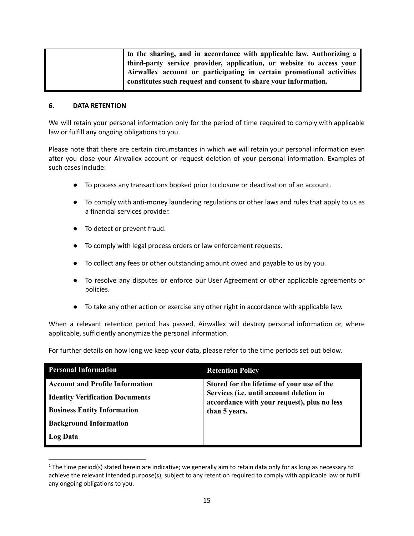| to the sharing, and in accordance with applicable law. Authorizing a |
|----------------------------------------------------------------------|
| third-party service provider, application, or website to access your |
| Airwallex account or participating in certain promotional activities |
| constitutes such request and consent to share your information.      |
|                                                                      |

### <span id="page-14-0"></span>**6. DATA RETENTION**

We will retain your personal information only for the period of time required to comply with applicable law or fulfill any ongoing obligations to you.

Please note that there are certain circumstances in which we will retain your personal information even after you close your Airwallex account or request deletion of your personal information. Examples of such cases include:

- To process any transactions booked prior to closure or deactivation of an account.
- To comply with anti-money laundering regulations or other laws and rules that apply to us as a financial services provider.
- To detect or prevent fraud.
- To comply with legal process orders or law enforcement requests.
- To collect any fees or other outstanding amount owed and payable to us by you.
- To resolve any disputes or enforce our User Agreement or other applicable agreements or policies.
- To take any other action or exercise any other right in accordance with applicable law.

When a relevant retention period has passed, Airwallex will destroy personal information or, where applicable, sufficiently anonymize the personal information.

For further details on how long we keep your data, please refer to the time periods set out below.

| <b>Personal Information</b>            | <b>Retention Policy</b>                                                                                  |
|----------------------------------------|----------------------------------------------------------------------------------------------------------|
| <b>Account and Profile Information</b> | Stored for the lifetime of your use of the                                                               |
| <b>Identity Verification Documents</b> | Services (i.e. until account deletion in<br>accordance with your request), plus no less<br>than 5 years. |
| <b>Business Entity Information</b>     |                                                                                                          |
| <b>Background Information</b>          |                                                                                                          |
| <b>Log Data</b>                        |                                                                                                          |

 $1$  The time period(s) stated herein are indicative; we generally aim to retain data only for as long as necessary to achieve the relevant intended purpose(s), subject to any retention required to comply with applicable law or fulfill any ongoing obligations to you.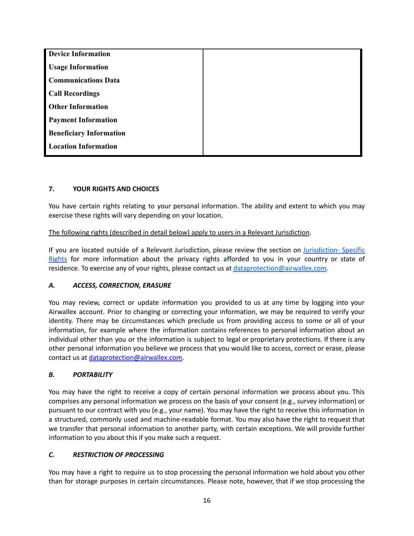| <b>Device Information</b>      |  |
|--------------------------------|--|
| <b>Usage Information</b>       |  |
| <b>Communications Data</b>     |  |
| <b>Call Recordings</b>         |  |
| <b>Other Information</b>       |  |
| <b>Payment Information</b>     |  |
| <b>Beneficiary Information</b> |  |
| <b>Location Information</b>    |  |

# <span id="page-15-0"></span>**7. YOUR RIGHTS AND CHOICES**

You have certain rights relating to your personal information. The ability and extent to which you may exercise these rights will vary depending on your location.

## The following rights (described in detail below) apply to users in a Relevant Jurisdiction.

If you are located outside of a Relevant Jurisdiction, please review the section on [Jurisdiction-](#page-19-0) Specific [Rights](#page-19-0) for more information about the privacy rights afforded to you in your country or state of residence. To exercise any of your rights, please contact us at [dataprotection@airwallex.com.](mailto:dataprotection@airwallex.com)

### *A. ACCESS, CORRECTION, ERASURE*

You may review, correct or update information you provided to us at any time by logging into your Airwallex account. Prior to changing or correcting your information, we may be required to verify your identity. There may be circumstances which preclude us from providing access to some or all of your information, for example where the information contains references to personal information about an individual other than you or the information is subject to legal or proprietary protections. If there is any other personal information you believe we process that you would like to access, correct or erase, please contact us at [dataprotection@airwallex.com.](mailto:dataprotection@airwallex.com)

### *B. PORTABILITY*

You may have the right to receive a copy of certain personal information we process about you. This comprises any personal information we process on the basis of your consent (e.g., survey information) or pursuant to our contract with you (e.g., your name). You may have the right to receive this information in a structured, commonly used and machine-readable format. You may also have the right to request that we transfer that personal information to another party, with certain exceptions. We will provide further information to you about this if you make such a request.

### *C. RESTRICTION OF PROCESSING*

You may have a right to require us to stop processing the personal information we hold about you other than for storage purposes in certain circumstances. Please note, however, that if we stop processing the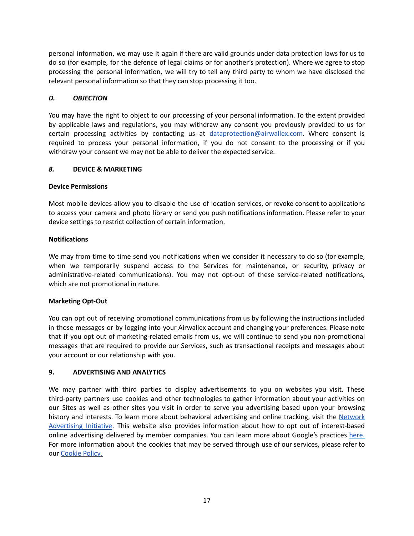personal information, we may use it again if there are valid grounds under data protection laws for us to do so (for example, for the defence of legal claims or for another's protection). Where we agree to stop processing the personal information, we will try to tell any third party to whom we have disclosed the relevant personal information so that they can stop processing it too.

## *D. OBJECTION*

You may have the right to object to our processing of your personal information. To the extent provided by applicable laws and regulations, you may withdraw any consent you previously provided to us for certain processing activities by contacting us at [dataprotection@airwallex.com.](mailto:dataprotection@airwallex.com) Where consent is required to process your personal information, if you do not consent to the processing or if you withdraw your consent we may not be able to deliver the expected service.

### *8.* **DEVICE & MARKETING**

### **Device Permissions**

Most mobile devices allow you to disable the use of location services, or revoke consent to applications to access your camera and photo library or send you push notifications information. Please refer to your device settings to restrict collection of certain information.

## **Notifications**

We may from time to time send you notifications when we consider it necessary to do so (for example, when we temporarily suspend access to the Services for maintenance, or security, privacy or administrative-related communications). You may not opt-out of these service-related notifications, which are not promotional in nature.

# **Marketing Opt-Out**

You can opt out of receiving promotional communications from us by following the instructions included in those messages or by logging into your Airwallex account and changing your preferences. Please note that if you opt out of marketing-related emails from us, we will continue to send you non-promotional messages that are required to provide our Services, such as transactional receipts and messages about your account or our relationship with you.

# **9. ADVERTISING AND ANALYTICS**

We may partner with third parties to display advertisements to you on websites you visit. These third-party partners use cookies and other technologies to gather information about your activities on our Sites as well as other sites you visit in order to serve you advertising based upon your browsing history and interests. To learn more about behavioral advertising and online tracking, visit the [Network](https://www.networkadvertising.org/) [Advertising](https://www.networkadvertising.org/) Initiative. This website also provides information about how to opt out of interest-based online advertising delivered by member companies. You can learn more about Google's practices [here.](https://support.google.com/adsense/answer/1348695?hl=en) For more information about the cookies that may be served through use of our services, please refer to our [Cookie](https://www.airwallex.com/au/terms/cookie-policy) Policy.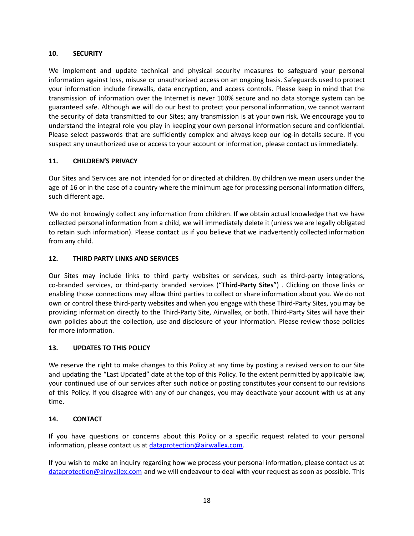## **10. SECURITY**

We implement and update technical and physical security measures to safeguard your personal information against loss, misuse or unauthorized access on an ongoing basis. Safeguards used to protect your information include firewalls, data encryption, and access controls. Please keep in mind that the transmission of information over the Internet is never 100% secure and no data storage system can be guaranteed safe. Although we will do our best to protect your personal information, we cannot warrant the security of data transmitted to our Sites; any transmission is at your own risk. We encourage you to understand the integral role you play in keeping your own personal information secure and confidential. Please select passwords that are sufficiently complex and always keep our log-in details secure. If you suspect any unauthorized use or access to your account or information, please contact us immediately.

# **11. CHILDREN'S PRIVACY**

Our Sites and Services are not intended for or directed at children. By children we mean users under the age of 16 or in the case of a country where the minimum age for processing personal information differs, such different age.

We do not knowingly collect any information from children. If we obtain actual knowledge that we have collected personal information from a child, we will immediately delete it (unless we are legally obligated to retain such information). Please contact us if you believe that we inadvertently collected information from any child.

# **12. THIRD PARTY LINKS AND SERVICES**

Our Sites may include links to third party websites or services, such as third-party integrations, co-branded services, or third-party branded services ("**Third-Party Sites**") . Clicking on those links or enabling those connections may allow third parties to collect or share information about you. We do not own or control these third-party websites and when you engage with these Third-Party Sites, you may be providing information directly to the Third-Party Site, Airwallex, or both. Third-Party Sites will have their own policies about the collection, use and disclosure of your information. Please review those policies for more information.

# <span id="page-17-1"></span>**13. UPDATES TO THIS POLICY**

We reserve the right to make changes to this Policy at any time by posting a revised version to our Site and updating the "Last Updated" date at the top of this Policy. To the extent permitted by applicable law, your continued use of our services after such notice or posting constitutes your consent to our revisions of this Policy. If you disagree with any of our changes, you may deactivate your account with us at any time.

### <span id="page-17-0"></span>**14. CONTACT**

If you have questions or concerns about this Policy or a specific request related to your personal information, please contact us at [dataprotection@airwallex.com.](mailto:dataprotection@airwallex.com)

If you wish to make an inquiry regarding how we process your personal information, please contact us at [dataprotection@airwallex.com](mailto:dataprotection@airwallex.com) and we will endeavour to deal with your request as soon as possible. This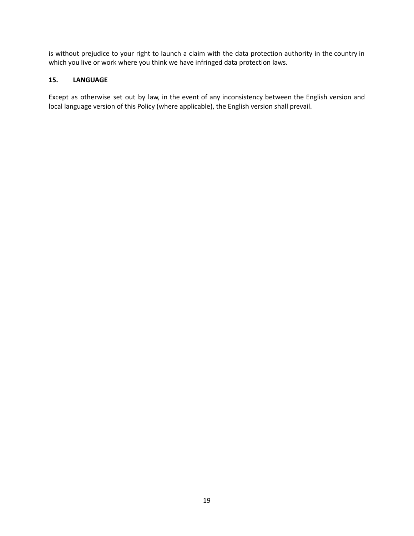is without prejudice to your right to launch a claim with the data protection authority in the country in which you live or work where you think we have infringed data protection laws.

# <span id="page-18-0"></span>**15. LANGUAGE**

Except as otherwise set out by law, in the event of any inconsistency between the English version and local language version of this Policy (where applicable), the English version shall prevail.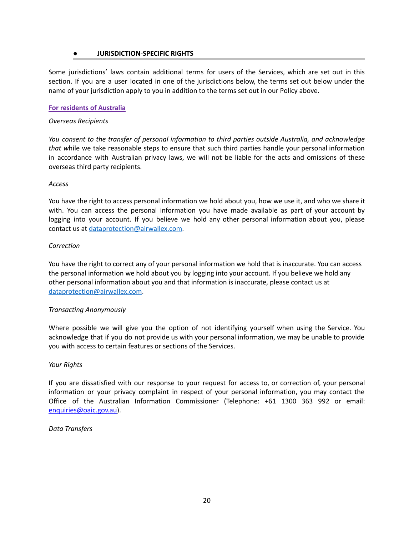### **● JURISDICTION-SPECIFIC RIGHTS**

<span id="page-19-0"></span>Some jurisdictions' laws contain additional terms for users of the Services, which are set out in this section. If you are a user located in one of the jurisdictions below, the terms set out below under the name of your jurisdiction apply to you in addition to the terms set out in our Policy above.

#### **For residents of Australia**

#### *Overseas Recipients*

*You consent to the transfer of personal information to third parties outside Australia, and acknowledge that w*hile we take reasonable steps to ensure that such third parties handle your personal information in accordance with Australian privacy laws, we will not be liable for the acts and omissions of these overseas third party recipients.

#### *Access*

You have the right to access personal information we hold about you, how we use it, and who we share it with. You can access the personal information you have made available as part of your account by logging into your account. If you believe we hold any other personal information about you, please contact us at [dataprotection@airwallex.com.](mailto:dataprotection@airwallex.com)

#### *Correction*

You have the right to correct any of your personal information we hold that is inaccurate. You can access the personal information we hold about you by logging into your account. If you believe we hold any other personal information about you and that information is inaccurate, please contact us at [dataprotection@airwallex.com.](mailto:dataprotection@airwallex.com)

### *Transacting Anonymously*

Where possible we will give you the option of not identifying yourself when using the Service. You acknowledge that if you do not provide us with your personal information, we may be unable to provide you with access to certain features or sections of the Services.

### *Your Rights*

If you are dissatisfied with our response to your request for access to, or correction of, your personal information or your privacy complaint in respect of your personal information, you may contact the Office of the Australian Information Commissioner (Telephone: +61 1300 363 992 or email: [enquiries@oaic.gov.au](mailto:enquiries@oaic.gov.au)).

### *Data Transfers*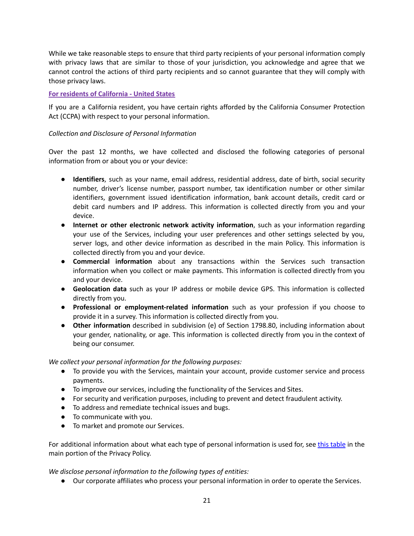While we take reasonable steps to ensure that third party recipients of your personal information comply with privacy laws that are similar to those of your jurisdiction, you acknowledge and agree that we cannot control the actions of third party recipients and so cannot guarantee that they will comply with those privacy laws.

## **For residents of California - United States**

If you are a California resident, you have certain rights afforded by the California Consumer Protection Act (CCPA) with respect to your personal information.

## *Collection and Disclosure of Personal Information*

Over the past 12 months, we have collected and disclosed the following categories of personal information from or about you or your device:

- **Identifiers**, such as your name, email address, residential address, date of birth, social security number, driver's license number, passport number, tax identification number or other similar identifiers, government issued identification information, bank account details, credit card or debit card numbers and IP address. This information is collected directly from you and your device.
- **Internet or other electronic network activity information**, such as your information regarding your use of the Services, including your user preferences and other settings selected by you, server logs, and other device information as described in the main Policy. This information is collected directly from you and your device.
- **Commercial information** about any transactions within the Services such transaction information when you collect or make payments. This information is collected directly from you and your device.
- **Geolocation data** such as your IP address or mobile device GPS. This information is collected directly from you.
- **Professional or employment-related information** such as your profession if you choose to provide it in a survey. This information is collected directly from you.
- **Other information** described in subdivision (e) of Section 1798.80, including information about your gender, nationality, or age. This information is collected directly from you in the context of being our consumer.

*We collect your personal information for the following purposes:*

- To provide you with the Services, maintain your account, provide customer service and process payments.
- To improve our services, including the functionality of the Services and Sites.
- For security and verification purposes, including to prevent and detect fraudulent activity.
- To address and remediate technical issues and bugs.
- To communicate with you.
- To market and promote our Services.

For additional information about what each type of personal information is used for, see this [table](#page-5-0) in the main portion of the Privacy Policy.

*We disclose personal information to the following types of entities:*

● Our corporate affiliates who process your personal information in order to operate the Services.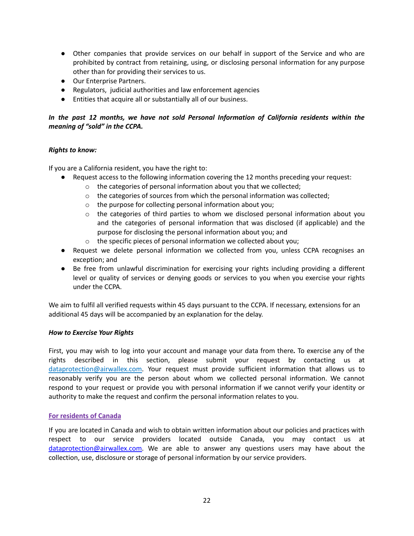- Other companies that provide services on our behalf in support of the Service and who are prohibited by contract from retaining, using, or disclosing personal information for any purpose other than for providing their services to us.
- Our Enterprise Partners.
- Regulators, judicial authorities and law enforcement agencies
- Entities that acquire all or substantially all of our business.

# *In the past 12 months, we have not sold Personal Information of California residents within the meaning of "sold" in the CCPA.*

### *Rights to know:*

If you are a California resident, you have the right to:

- Request access to the following information covering the 12 months preceding your request:
	- o the categories of personal information about you that we collected;
	- $\circ$  the categories of sources from which the personal information was collected;
	- o the purpose for collecting personal information about you;
	- $\circ$  the categories of third parties to whom we disclosed personal information about you and the categories of personal information that was disclosed (if applicable) and the purpose for disclosing the personal information about you; and
	- o the specific pieces of personal information we collected about you;
- Request we delete personal information we collected from you, unless CCPA recognises an exception; and
- Be free from unlawful discrimination for exercising your rights including providing a different level or quality of services or denying goods or services to you when you exercise your rights under the CCPA.

We aim to fulfil all verified requests within 45 days pursuant to the CCPA. If necessary, extensions for an additional 45 days will be accompanied by an explanation for the delay.

### *How to Exercise Your Rights*

First, you may wish to log into your account and manage your data from there*.* To exercise any of the rights described in this section, please submit your request by contacting us at [dataprotection@airwallex.com.](mailto:privacy@airwallex.com) Your request must provide sufficient information that allows us to reasonably verify you are the person about whom we collected personal information. We cannot respond to your request or provide you with personal information if we cannot verify your identity or authority to make the request and confirm the personal information relates to you.

### **For residents of Canada**

If you are located in Canada and wish to obtain written information about our policies and practices with respect to our service providers located outside Canada, you may contact us at [dataprotection@airwallex.com.](mailto:dataprotection@airwallex.com) We are able to answer any questions users may have about the collection, use, disclosure or storage of personal information by our service providers.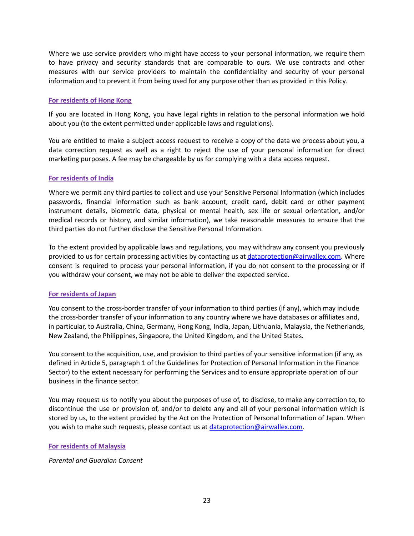Where we use service providers who might have access to your personal information, we require them to have privacy and security standards that are comparable to ours. We use contracts and other measures with our service providers to maintain the confidentiality and security of your personal information and to prevent it from being used for any purpose other than as provided in this Policy.

#### **For residents of Hong Kong**

If you are located in Hong Kong, you have legal rights in relation to the personal information we hold about you (to the extent permitted under applicable laws and regulations).

You are entitled to make a subject access request to receive a copy of the data we process about you, a data correction request as well as a right to reject the use of your personal information for direct marketing purposes. A fee may be chargeable by us for complying with a data access request.

#### **For residents of India**

Where we permit any third parties to collect and use your Sensitive Personal Information (which includes passwords, financial information such as bank account, credit card, debit card or other payment instrument details, biometric data, physical or mental health, sex life or sexual orientation, and/or medical records or history, and similar information), we take reasonable measures to ensure that the third parties do not further disclose the Sensitive Personal Information.

To the extent provided by applicable laws and regulations, you may withdraw any consent you previously provided to us for certain processing activities by contacting us at [dataprotection@airwallex.com](mailto:dataprotection@airwallex.com). Where consent is required to process your personal information, if you do not consent to the processing or if you withdraw your consent, we may not be able to deliver the expected service.

### **For residents of Japan**

You consent to the cross-border transfer of your information to third parties (if any), which may include the cross-border transfer of your information to any country where we have databases or affiliates and, in particular, to Australia, China, Germany, Hong Kong, India, Japan, Lithuania, Malaysia, the Netherlands, New Zealand, the Philippines, Singapore, the United Kingdom, and the United States.

You consent to the acquisition, use, and provision to third parties of your sensitive information (if any, as defined in Article 5, paragraph 1 of the Guidelines for Protection of Personal Information in the Finance Sector) to the extent necessary for performing the Services and to ensure appropriate operation of our business in the finance sector.

You may request us to notify you about the purposes of use of, to disclose, to make any correction to, to discontinue the use or provision of, and/or to delete any and all of your personal information which is stored by us, to the extent provided by the Act on the Protection of Personal Information of Japan. When you wish to make such requests, please contact us at [dataprotection@airwallex.com.](mailto:dataprotection@airwallex.com)

#### **For residents of Malaysia**

*Parental and Guardian Consent*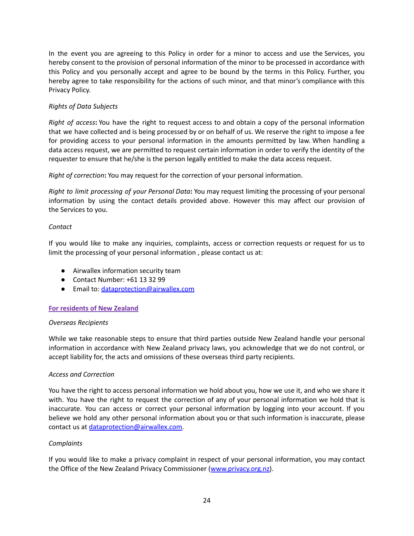In the event you are agreeing to this Policy in order for a minor to access and use the Services, you hereby consent to the provision of personal information of the minor to be processed in accordance with this Policy and you personally accept and agree to be bound by the terms in this Policy. Further, you hereby agree to take responsibility for the actions of such minor, and that minor's compliance with this Privacy Policy.

## *Rights of Data Subjects*

*Right of access***:** You have the right to request access to and obtain a copy of the personal information that we have collected and is being processed by or on behalf of us. We reserve the right to impose a fee for providing access to your personal information in the amounts permitted by law. When handling a data access request, we are permitted to request certain information in order to verify the identity of the requester to ensure that he/she is the person legally entitled to make the data access request.

*Right of correction***:** You may request for the correction of your personal information.

*Right to limit processing of your Personal Data***:** You may request limiting the processing of your personal information by using the contact details provided above. However this may affect our provision of the Services to you.

#### *Contact*

If you would like to make any inquiries, complaints, access or correction requests or request for us to limit the processing of your personal information , please contact us at:

- Airwallex information security team
- Contact Number: +61 13 32 99
- Email to: [dataprotection@airwallex.com](mailto:dataprotection@airwallex.com)

### **For residents of New Zealand**

#### *Overseas Recipients*

While we take reasonable steps to ensure that third parties outside New Zealand handle your personal information in accordance with New Zealand privacy laws, you acknowledge that we do not control, or accept liability for, the acts and omissions of these overseas third party recipients.

### *Access and Correction*

You have the right to access personal information we hold about you, how we use it, and who we share it with. You have the right to request the correction of any of your personal information we hold that is inaccurate. You can access or correct your personal information by logging into your account. If you believe we hold any other personal information about you or that such information is inaccurate, please contact us at [dataprotection@airwallex.com.](mailto:dataprotection@airwallex.com)

#### *Complaints*

If you would like to make a privacy complaint in respect of your personal information, you may contact the Office of the New Zealand Privacy Commissioner ([www.privacy.org.nz\)](http://www.privacy.org.nz).